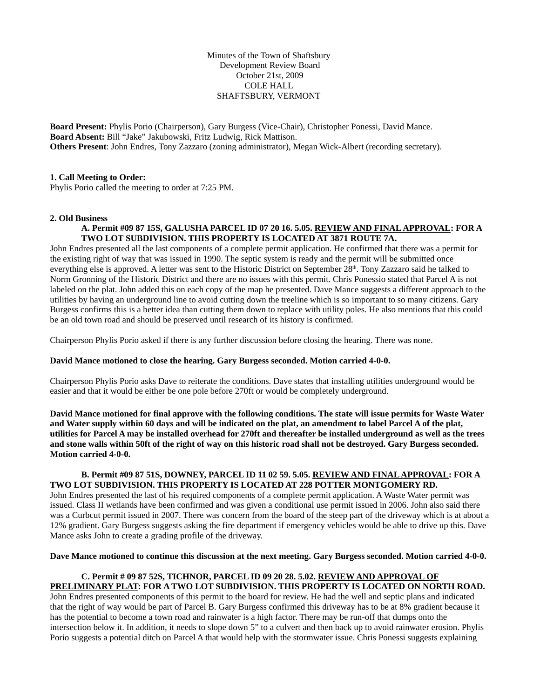Minutes of the Town of Shaftsbury Development Review Board October 21st, 2009 COLE HALL SHAFTSBURY, VERMONT

**Board Present:** Phylis Porio (Chairperson), Gary Burgess (Vice-Chair), Christopher Ponessi, David Mance. **Board Absent:** Bill "Jake" Jakubowski, Fritz Ludwig, Rick Mattison. **Others Present**: John Endres, Tony Zazzaro (zoning administrator), Megan Wick-Albert (recording secretary).

### **1. Call Meeting to Order:**

Phylis Porio called the meeting to order at 7:25 PM.

## **2. Old Business**

### **A. Permit #09 87 15S, GALUSHA PARCEL ID 07 20 16. 5.05. REVIEW AND FINAL APPROVAL: FOR A TWO LOT SUBDIVISION. THIS PROPERTY IS LOCATED AT 3871 ROUTE 7A.**

John Endres presented all the last components of a complete permit application. He confirmed that there was a permit for the existing right of way that was issued in 1990. The septic system is ready and the permit will be submitted once everything else is approved. A letter was sent to the Historic District on September 28<sup>th</sup>. Tony Zazzaro said he talked to Norm Gronning of the Historic District and there are no issues with this permit. Chris Ponessio stated that Parcel A is not labeled on the plat. John added this on each copy of the map he presented. Dave Mance suggests a different approach to the utilities by having an underground line to avoid cutting down the treeline which is so important to so many citizens. Gary Burgess confirms this is a better idea than cutting them down to replace with utility poles. He also mentions that this could be an old town road and should be preserved until research of its history is confirmed.

Chairperson Phylis Porio asked if there is any further discussion before closing the hearing. There was none.

### **David Mance motioned to close the hearing. Gary Burgess seconded. Motion carried 4-0-0.**

Chairperson Phylis Porio asks Dave to reiterate the conditions. Dave states that installing utilities underground would be easier and that it would be either be one pole before 270ft or would be completely underground.

**David Mance motioned for final approve with the following conditions. The state will issue permits for Waste Water and Water supply within 60 days and will be indicated on the plat, an amendment to label Parcel A of the plat, utilities for Parcel A may be installed overhead for 270ft and thereafter be installed underground as well as the trees and stone walls within 50ft of the right of way on this historic road shall not be destroyed. Gary Burgess seconded. Motion carried 4-0-0.**

# **B. Permit #09 87 51S, DOWNEY, PARCEL ID 11 02 59. 5.05. REVIEW AND FINAL APPROVAL: FOR A TWO LOT SUBDIVISION. THIS PROPERTY IS LOCATED AT 228 POTTER MONTGOMERY RD.**

John Endres presented the last of his required components of a complete permit application. A Waste Water permit was issued. Class II wetlands have been confirmed and was given a conditional use permit issued in 2006. John also said there was a Curbcut permit issued in 2007. There was concern from the board of the steep part of the driveway which is at about a 12% gradient. Gary Burgess suggests asking the fire department if emergency vehicles would be able to drive up this. Dave Mance asks John to create a grading profile of the driveway.

#### **Dave Mance motioned to continue this discussion at the next meeting. Gary Burgess seconded. Motion carried 4-0-0.**

# **C. Permit # 09 87 52S, TICHNOR, PARCEL ID 09 20 28. 5.02. REVIEW AND APPROVAL OF PRELIMINARY PLAT: FOR A TWO LOT SUBDIVISION. THIS PROPERTY IS LOCATED ON NORTH ROAD.**

John Endres presented components of this permit to the board for review. He had the well and septic plans and indicated that the right of way would be part of Parcel B. Gary Burgess confirmed this driveway has to be at 8% gradient because it has the potential to become a town road and rainwater is a high factor. There may be run-off that dumps onto the intersection below it. In addition, it needs to slope down 5" to a culvert and then back up to avoid rainwater erosion. Phylis Porio suggests a potential ditch on Parcel A that would help with the stormwater issue. Chris Ponessi suggests explaining